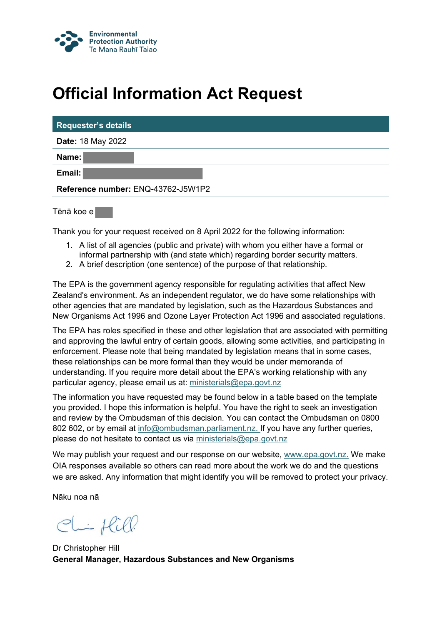

## **Official Information Act Request**

| <b>Requester's details</b>         |  |  |
|------------------------------------|--|--|
| <b>Date: 18 May 2022</b>           |  |  |
| Name:                              |  |  |
| Email:                             |  |  |
| Reference number: ENQ-43762-J5W1P2 |  |  |
|                                    |  |  |

Tēnā koe e

Thank you for your request received on 8 April 2022 for the following information:

- 1. A list of all agencies (public and private) with whom you either have a formal or informal partnership with (and state which) regarding border security matters.
- 2. A brief description (one sentence) of the purpose of that relationship.

The EPA is the government agency responsible for regulating activities that affect New Zealand's environment. As an independent regulator, we do have some relationships with other agencies that are mandated by legislation, such as the Hazardous Substances and New Organisms Act 1996 and Ozone Layer Protection Act 1996 and associated regulations.

The EPA has roles specified in these and other legislation that are associated with permitting and approving the lawful entry of certain goods, allowing some activities, and participating in enforcement. Please note that being mandated by legislation means that in some cases, these relationships can be more formal than they would be under memoranda of understanding. If you require more detail about the EPA's working relationship with any particular agency, please email us at: [ministerials@epa.govt.nz](mailto:ministerials@epa.govt.nz)

The information you have requested may be found below in a table based on the template you provided. I hope this information is helpful. You have the right to seek an investigation and review by the Ombudsman of this decision. You can contact the Ombudsman on 0800 802 602, or by email at [info@ombudsman.parliament.nz](mailto:info@ombudsman.parliament.nz). If you have any further queries, please do not hesitate to contact us via [ministerials@epa.govt.nz](mailto:ministerials@epa.govt.nz)

We may publish your request and our response on our website, [www.epa.govt.nz](http://www.epa.govt.nz/). We make OIA responses available so others can read more about the work we do and the questions we are asked. Any information that might identify you will be removed to protect your privacy.

Nāku noa nā

Chiflill

Dr Christopher Hill **General Manager, Hazardous Substances and New Organisms**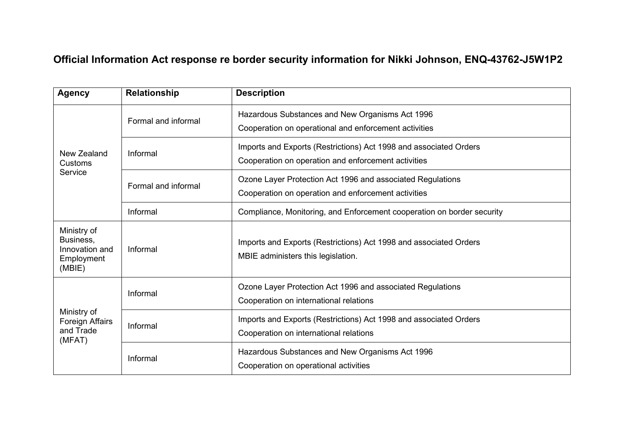## **Official Information Act response re border security information for Nikki Johnson, ENQ-43762-J5W1P2**

| <b>Agency</b>                                                      | <b>Relationship</b> | <b>Description</b>                                                                                                       |
|--------------------------------------------------------------------|---------------------|--------------------------------------------------------------------------------------------------------------------------|
| New Zealand<br>Customs<br>Service                                  | Formal and informal | Hazardous Substances and New Organisms Act 1996<br>Cooperation on operational and enforcement activities                 |
|                                                                    | Informal            | Imports and Exports (Restrictions) Act 1998 and associated Orders<br>Cooperation on operation and enforcement activities |
|                                                                    | Formal and informal | Ozone Layer Protection Act 1996 and associated Regulations<br>Cooperation on operation and enforcement activities        |
|                                                                    | Informal            | Compliance, Monitoring, and Enforcement cooperation on border security                                                   |
| Ministry of<br>Business,<br>Innovation and<br>Employment<br>(MBIE) | Informal            | Imports and Exports (Restrictions) Act 1998 and associated Orders<br>MBIE administers this legislation.                  |
| Ministry of<br>Foreign Affairs<br>and Trade<br>(MFAT)              | Informal            | Ozone Layer Protection Act 1996 and associated Regulations<br>Cooperation on international relations                     |
|                                                                    | Informal            | Imports and Exports (Restrictions) Act 1998 and associated Orders<br>Cooperation on international relations              |
|                                                                    | Informal            | Hazardous Substances and New Organisms Act 1996<br>Cooperation on operational activities                                 |